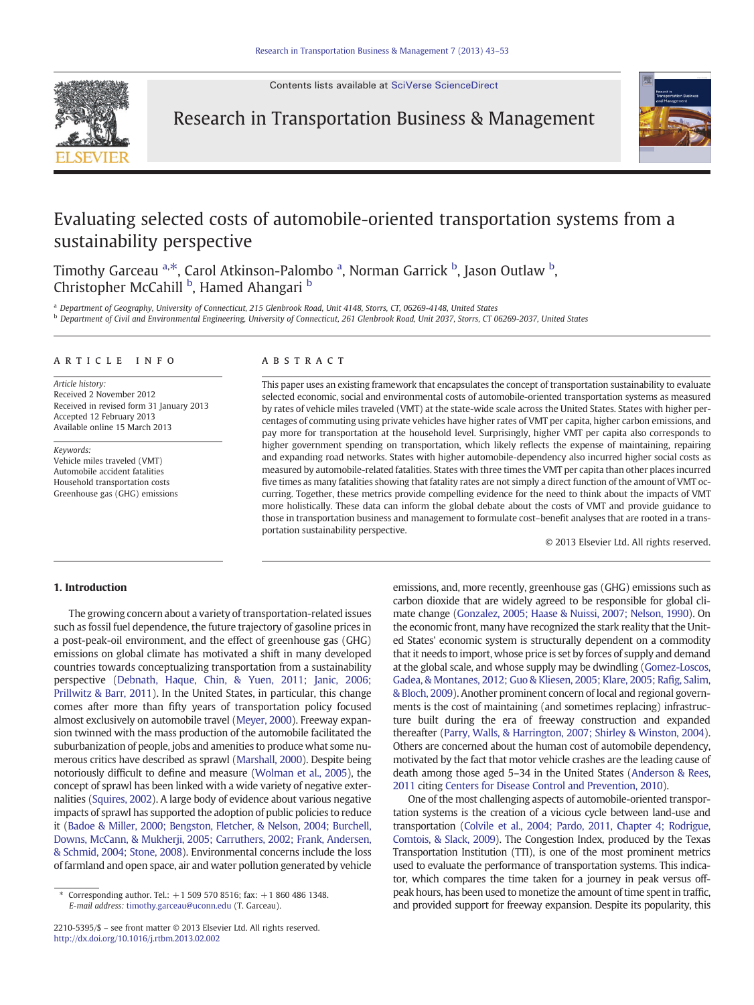Contents lists available at [SciVerse ScienceDirect](http://www.sciencedirect.com/science/journal/)



Research in Transportation Business & Management



## Evaluating selected costs of automobile-oriented transportation systems from a sustainability perspective

Timothy Garceau <sup>a,\*</sup>, Carol Atkinson-Palombo <sup>a</sup>, Norman Garrick <sup>b</sup>, Jason Outlaw <sup>b</sup>, Christopher McCahill <sup>b</sup>, Hamed Ahangari <sup>b</sup>

<sup>a</sup> Department of Geography, University of Connecticut, 215 Glenbrook Road, Unit 4148, Storrs, CT, 06269-4148, United States

<sup>b</sup> Department of Civil and Environmental Engineering, University of Connecticut, 261 Glenbrook Road, Unit 2037, Storrs, CT 06269-2037, United States

#### article info abstract

Article history: Received 2 November 2012 Received in revised form 31 January 2013 Accepted 12 February 2013 Available online 15 March 2013

Keywords:

Vehicle miles traveled (VMT) Automobile accident fatalities Household transportation costs Greenhouse gas (GHG) emissions

This paper uses an existing framework that encapsulates the concept of transportation sustainability to evaluate selected economic, social and environmental costs of automobile-oriented transportation systems as measured by rates of vehicle miles traveled (VMT) at the state-wide scale across the United States. States with higher percentages of commuting using private vehicles have higher rates of VMT per capita, higher carbon emissions, and pay more for transportation at the household level. Surprisingly, higher VMT per capita also corresponds to higher government spending on transportation, which likely reflects the expense of maintaining, repairing and expanding road networks. States with higher automobile-dependency also incurred higher social costs as measured by automobile-related fatalities. States with three times the VMT per capita than other places incurred five times as many fatalities showing that fatality rates are not simply a direct function of the amount of VMT occurring. Together, these metrics provide compelling evidence for the need to think about the impacts of VMT more holistically. These data can inform the global debate about the costs of VMT and provide guidance to those in transportation business and management to formulate cost–benefit analyses that are rooted in a transportation sustainability perspective.

© 2013 Elsevier Ltd. All rights reserved.

### 1. Introduction

The growing concern about a variety of transportation-related issues such as fossil fuel dependence, the future trajectory of gasoline prices in a post-peak-oil environment, and the effect of greenhouse gas (GHG) emissions on global climate has motivated a shift in many developed countries towards conceptualizing transportation from a sustainability perspective ([Debnath, Haque, Chin, & Yuen, 2011; Janic, 2006;](#page--1-0) [Prillwitz & Barr, 2011](#page--1-0)). In the United States, in particular, this change comes after more than fifty years of transportation policy focused almost exclusively on automobile travel ([Meyer, 2000](#page--1-0)). Freeway expansion twinned with the mass production of the automobile facilitated the suburbanization of people, jobs and amenities to produce what some numerous critics have described as sprawl ([Marshall, 2000\)](#page--1-0). Despite being notoriously difficult to define and measure ([Wolman et al., 2005](#page--1-0)), the concept of sprawl has been linked with a wide variety of negative externalities [\(Squires, 2002\)](#page--1-0). A large body of evidence about various negative impacts of sprawl has supported the adoption of public policies to reduce it ([Badoe & Miller, 2000; Bengston, Fletcher, & Nelson, 2004; Burchell,](#page--1-0) [Downs, McCann, & Mukherji, 2005; Carruthers, 2002; Frank, Andersen,](#page--1-0) [& Schmid, 2004; Stone, 2008\)](#page--1-0). Environmental concerns include the loss of farmland and open space, air and water pollution generated by vehicle

emissions, and, more recently, greenhouse gas (GHG) emissions such as carbon dioxide that are widely agreed to be responsible for global climate change [\(Gonzalez, 2005; Haase & Nuissi, 2007; Nelson, 1990\)](#page--1-0). On the economic front, many have recognized the stark reality that the United States' economic system is structurally dependent on a commodity that it needs to import, whose price is set by forces of supply and demand at the global scale, and whose supply may be dwindling [\(Gomez-Loscos,](#page--1-0) [Gadea, & Montanes, 2012; Guo & Kliesen, 2005; Klare, 2005; Ra](#page--1-0)fig, Salim, [& Bloch, 2009\)](#page--1-0). Another prominent concern of local and regional governments is the cost of maintaining (and sometimes replacing) infrastructure built during the era of freeway construction and expanded thereafter [\(Parry, Walls, & Harrington, 2007; Shirley & Winston, 2004](#page--1-0)). Others are concerned about the human cost of automobile dependency, motivated by the fact that motor vehicle crashes are the leading cause of death among those aged 5–34 in the United States [\(Anderson & Rees,](#page--1-0) [2011](#page--1-0) citing [Centers for Disease Control and Prevention, 2010\)](#page--1-0).

One of the most challenging aspects of automobile-oriented transportation systems is the creation of a vicious cycle between land-use and transportation [\(Colvile et al., 2004; Pardo, 2011, Chapter 4; Rodrigue,](#page--1-0) [Comtois, & Slack, 2009](#page--1-0)). The Congestion Index, produced by the Texas Transportation Institution (TTI), is one of the most prominent metrics used to evaluate the performance of transportation systems. This indicator, which compares the time taken for a journey in peak versus offpeak hours, has been used to monetize the amount of time spent in traffic, and provided support for freeway expansion. Despite its popularity, this

<sup>⁎</sup> Corresponding author. Tel.: +1 509 570 8516; fax: +1 860 486 1348. E-mail address: [timothy.garceau@uconn.edu](mailto:timothy.garceau@uconn.edu) (T. Garceau).

<sup>2210-5395/\$</sup> – see front matter © 2013 Elsevier Ltd. All rights reserved. <http://dx.doi.org/10.1016/j.rtbm.2013.02.002>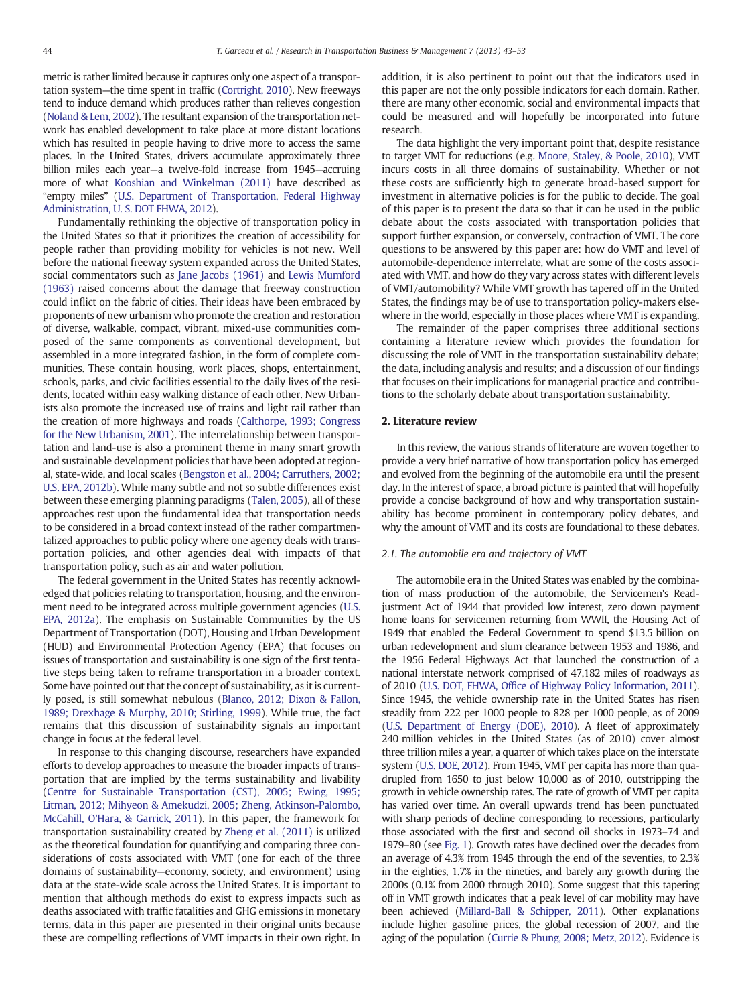metric is rather limited because it captures only one aspect of a transportation system—the time spent in traffic [\(Cortright, 2010\)](#page--1-0). New freeways tend to induce demand which produces rather than relieves congestion [\(Noland & Lem, 2002\)](#page--1-0). The resultant expansion of the transportation network has enabled development to take place at more distant locations which has resulted in people having to drive more to access the same places. In the United States, drivers accumulate approximately three billion miles each year—a twelve-fold increase from 1945—accruing more of what [Kooshian and Winkelman \(2011\)](#page--1-0) have described as "empty miles" [\(U.S. Department of Transportation, Federal Highway](#page--1-0) [Administration, U. S. DOT FHWA, 2012](#page--1-0)).

Fundamentally rethinking the objective of transportation policy in the United States so that it prioritizes the creation of accessibility for people rather than providing mobility for vehicles is not new. Well before the national freeway system expanded across the United States, social commentators such as [Jane Jacobs \(1961\)](#page--1-0) and [Lewis Mumford](#page--1-0) [\(1963\)](#page--1-0) raised concerns about the damage that freeway construction could inflict on the fabric of cities. Their ideas have been embraced by proponents of new urbanism who promote the creation and restoration of diverse, walkable, compact, vibrant, mixed-use communities composed of the same components as conventional development, but assembled in a more integrated fashion, in the form of complete communities. These contain housing, work places, shops, entertainment, schools, parks, and civic facilities essential to the daily lives of the residents, located within easy walking distance of each other. New Urbanists also promote the increased use of trains and light rail rather than the creation of more highways and roads [\(Calthorpe, 1993; Congress](#page--1-0) [for the New Urbanism, 2001](#page--1-0)). The interrelationship between transportation and land-use is also a prominent theme in many smart growth and sustainable development policies that have been adopted at regional, state-wide, and local scales [\(Bengston et al., 2004; Carruthers, 2002;](#page--1-0) [U.S. EPA, 2012b\)](#page--1-0). While many subtle and not so subtle differences exist between these emerging planning paradigms [\(Talen, 2005\)](#page--1-0), all of these approaches rest upon the fundamental idea that transportation needs to be considered in a broad context instead of the rather compartmentalized approaches to public policy where one agency deals with transportation policies, and other agencies deal with impacts of that transportation policy, such as air and water pollution.

The federal government in the United States has recently acknowledged that policies relating to transportation, housing, and the environment need to be integrated across multiple government agencies ([U.S.](#page--1-0) [EPA, 2012a](#page--1-0)). The emphasis on Sustainable Communities by the US Department of Transportation (DOT), Housing and Urban Development (HUD) and Environmental Protection Agency (EPA) that focuses on issues of transportation and sustainability is one sign of the first tentative steps being taken to reframe transportation in a broader context. Some have pointed out that the concept of sustainability, as it is currently posed, is still somewhat nebulous [\(Blanco, 2012; Dixon & Fallon,](#page--1-0) [1989; Drexhage & Murphy, 2010; Stirling, 1999](#page--1-0)). While true, the fact remains that this discussion of sustainability signals an important change in focus at the federal level.

In response to this changing discourse, researchers have expanded efforts to develop approaches to measure the broader impacts of transportation that are implied by the terms sustainability and livability [\(Centre for Sustainable Transportation \(CST\), 2005; Ewing, 1995;](#page--1-0) [Litman, 2012; Mihyeon & Amekudzi, 2005; Zheng, Atkinson-Palombo,](#page--1-0) [McCahill, O'Hara, & Garrick, 2011](#page--1-0)). In this paper, the framework for transportation sustainability created by [Zheng et al. \(2011\)](#page--1-0) is utilized as the theoretical foundation for quantifying and comparing three considerations of costs associated with VMT (one for each of the three domains of sustainability—economy, society, and environment) using data at the state-wide scale across the United States. It is important to mention that although methods do exist to express impacts such as deaths associated with traffic fatalities and GHG emissions in monetary terms, data in this paper are presented in their original units because these are compelling reflections of VMT impacts in their own right. In addition, it is also pertinent to point out that the indicators used in this paper are not the only possible indicators for each domain. Rather, there are many other economic, social and environmental impacts that could be measured and will hopefully be incorporated into future research.

The data highlight the very important point that, despite resistance to target VMT for reductions (e.g. [Moore, Staley, & Poole, 2010](#page--1-0)), VMT incurs costs in all three domains of sustainability. Whether or not these costs are sufficiently high to generate broad-based support for investment in alternative policies is for the public to decide. The goal of this paper is to present the data so that it can be used in the public debate about the costs associated with transportation policies that support further expansion, or conversely, contraction of VMT. The core questions to be answered by this paper are: how do VMT and level of automobile-dependence interrelate, what are some of the costs associated with VMT, and how do they vary across states with different levels of VMT/automobility? While VMT growth has tapered off in the United States, the findings may be of use to transportation policy-makers elsewhere in the world, especially in those places where VMT is expanding.

The remainder of the paper comprises three additional sections containing a literature review which provides the foundation for discussing the role of VMT in the transportation sustainability debate; the data, including analysis and results; and a discussion of our findings that focuses on their implications for managerial practice and contributions to the scholarly debate about transportation sustainability.

#### 2. Literature review

In this review, the various strands of literature are woven together to provide a very brief narrative of how transportation policy has emerged and evolved from the beginning of the automobile era until the present day. In the interest of space, a broad picture is painted that will hopefully provide a concise background of how and why transportation sustainability has become prominent in contemporary policy debates, and why the amount of VMT and its costs are foundational to these debates.

#### 2.1. The automobile era and trajectory of VMT

The automobile era in the United States was enabled by the combination of mass production of the automobile, the Servicemen's Readjustment Act of 1944 that provided low interest, zero down payment home loans for servicemen returning from WWII, the Housing Act of 1949 that enabled the Federal Government to spend \$13.5 billion on urban redevelopment and slum clearance between 1953 and 1986, and the 1956 Federal Highways Act that launched the construction of a national interstate network comprised of 47,182 miles of roadways as of 2010 (U.S. DOT, FHWA, Offi[ce of Highway Policy Information, 2011\)](#page--1-0). Since 1945, the vehicle ownership rate in the United States has risen steadily from 222 per 1000 people to 828 per 1000 people, as of 2009 [\(U.S. Department of Energy \(DOE\), 2010\)](#page--1-0). A fleet of approximately 240 million vehicles in the United States (as of 2010) cover almost three trillion miles a year, a quarter of which takes place on the interstate system [\(U.S. DOE, 2012](#page--1-0)). From 1945, VMT per capita has more than quadrupled from 1650 to just below 10,000 as of 2010, outstripping the growth in vehicle ownership rates. The rate of growth of VMT per capita has varied over time. An overall upwards trend has been punctuated with sharp periods of decline corresponding to recessions, particularly those associated with the first and second oil shocks in 1973–74 and 1979–80 (see [Fig. 1](#page--1-0)). Growth rates have declined over the decades from an average of 4.3% from 1945 through the end of the seventies, to 2.3% in the eighties, 1.7% in the nineties, and barely any growth during the 2000s (0.1% from 2000 through 2010). Some suggest that this tapering off in VMT growth indicates that a peak level of car mobility may have been achieved [\(Millard-Ball & Schipper, 2011](#page--1-0)). Other explanations include higher gasoline prices, the global recession of 2007, and the aging of the population [\(Currie & Phung, 2008; Metz, 2012\)](#page--1-0). Evidence is